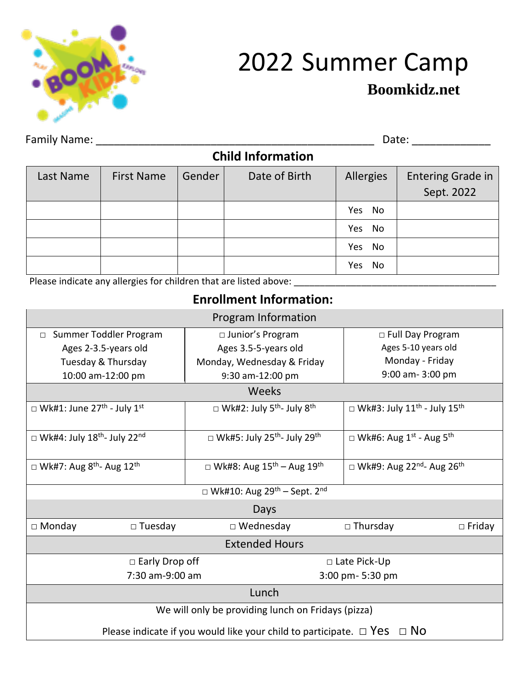

# **Boomkidz.net** <sup>2022</sup> Summer Camp

Family Name: \_\_\_\_\_\_\_\_\_\_\_\_\_\_\_\_\_\_\_\_\_\_\_\_\_\_\_\_\_\_\_\_\_\_\_\_\_\_\_\_\_\_\_\_\_\_ Date: \_\_\_\_\_\_\_\_\_\_\_\_\_

| <b>Child Information</b> |                   |        |               |                  |                          |
|--------------------------|-------------------|--------|---------------|------------------|--------------------------|
| Last Name                | <b>First Name</b> | Gender | Date of Birth | <b>Allergies</b> | <b>Entering Grade in</b> |
|                          |                   |        |               |                  | Sept. 2022               |
|                          |                   |        |               | Yes<br>No        |                          |
|                          |                   |        |               | No<br>Yes        |                          |
|                          |                   |        |               | No<br>Yes        |                          |
|                          |                   |        |               | No<br>Yes        |                          |

Please indicate any allergies for children that are listed above: \_\_\_\_\_\_\_\_\_\_\_\_\_\_\_\_\_\_\_\_\_\_\_\_\_\_\_\_\_\_\_\_\_\_\_\_\_\_\_

## **Enrollment Information:**

| Program Information                                                               |                                    |                                                            |                                                            |  |
|-----------------------------------------------------------------------------------|------------------------------------|------------------------------------------------------------|------------------------------------------------------------|--|
| Summer Toddler Program<br>$\Box$                                                  |                                    | □ Junior's Program                                         | □ Full Day Program                                         |  |
| Ages 2-3.5-years old                                                              |                                    | Ages 3.5-5-years old                                       | Ages 5-10 years old                                        |  |
| Tuesday & Thursday                                                                |                                    | Monday, Wednesday & Friday                                 | Monday - Friday                                            |  |
| 10:00 am-12:00 pm                                                                 |                                    | 9:30 am-12:00 pm                                           | 9:00 am-3:00 pm                                            |  |
|                                                                                   |                                    | Weeks                                                      |                                                            |  |
| $\Box$ Wk#1: June 27 <sup>th</sup> - July 1 <sup>st</sup>                         |                                    | $\Box$ Wk#2: July 5 <sup>th</sup> - July 8 <sup>th</sup>   | $\Box$ Wk#3: July 11 <sup>th</sup> - July 15 <sup>th</sup> |  |
| $\Box$ Wk#4: July 18 <sup>th</sup> - July 22 <sup>nd</sup>                        |                                    | $\Box$ Wk#5: July 25 <sup>th</sup> - July 29 <sup>th</sup> | $\Box$ Wk#6: Aug 1 <sup>st</sup> - Aug 5 <sup>th</sup>     |  |
| $\Box$ Wk#7: Aug 8 <sup>th</sup> - Aug 12 <sup>th</sup>                           |                                    | $\Box$ Wk#8: Aug 15 <sup>th</sup> – Aug 19 <sup>th</sup>   | $\Box$ Wk#9: Aug 22 <sup>nd</sup> - Aug 26 <sup>th</sup>   |  |
| □ Wk#10: Aug 29 <sup>th</sup> – Sept. 2 <sup>nd</sup>                             |                                    |                                                            |                                                            |  |
| Days                                                                              |                                    |                                                            |                                                            |  |
| $\Box$ Monday                                                                     | $\Box$ Tuesday<br>$\Box$ Wednesday |                                                            | $\Box$ Thursday<br>$\Box$ Friday                           |  |
| <b>Extended Hours</b>                                                             |                                    |                                                            |                                                            |  |
|                                                                                   | $\Box$ Early Drop off              |                                                            | □ Late Pick-Up                                             |  |
| 7:30 am-9:00 am                                                                   |                                    | 3:00 pm- 5:30 pm                                           |                                                            |  |
| Lunch                                                                             |                                    |                                                            |                                                            |  |
| We will only be providing lunch on Fridays (pizza)                                |                                    |                                                            |                                                            |  |
| Please indicate if you would like your child to participate. $\Box$ Yes $\Box$ No |                                    |                                                            |                                                            |  |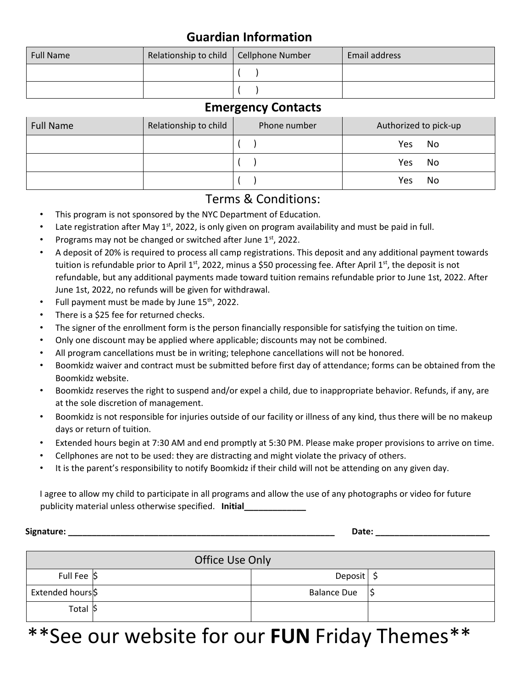## **Guardian Information**

| <b>Full Name</b> | Relationship to child   Cellphone Number | Email address |
|------------------|------------------------------------------|---------------|
|                  |                                          |               |
|                  |                                          |               |

### **Emergency Contacts**

| <b>Full Name</b> | Relationship to child | Phone number | Authorized to pick-up |
|------------------|-----------------------|--------------|-----------------------|
|                  |                       |              | No<br>Yes             |
|                  |                       |              | No<br>Yes             |
|                  |                       |              | No<br>Yes             |

## Terms & Conditions:

- This program is not sponsored by the NYC Department of Education.
- Late registration after May  $1<sup>st</sup>$ , 2022, is only given on program availability and must be paid in full.
- Programs may not be changed or switched after June  $1<sup>st</sup>$ , 2022.
- A deposit of 20% is required to process all camp registrations. This deposit and any additional payment towards tuition is refundable prior to April 1<sup>st</sup>, 2022, minus a \$50 processing fee. After April 1<sup>st</sup>, the deposit is not refundable, but any additional payments made toward tuition remains refundable prior to June 1st, 2022. After June 1st, 2022, no refunds will be given for withdrawal.
- Full payment must be made by June 15<sup>th</sup>, 2022.
- There is a \$25 fee for returned checks.
- The signer of the enrollment form is the person financially responsible for satisfying the tuition on time.
- Only one discount may be applied where applicable; discounts may not be combined.
- All program cancellations must be in writing; telephone cancellations will not be honored.
- Boomkidz waiver and contract must be submitted before first day of attendance; forms can be obtained from the Boomkidz website.
- Boomkidz reserves the right to suspend and/or expel a child, due to inappropriate behavior. Refunds, if any, are at the sole discretion of management.
- Boomkidz is not responsible for injuries outside of our facility or illness of any kind, thus there will be no makeup days or return of tuition.
- Extended hours begin at 7:30 AM and end promptly at 5:30 PM. Please make proper provisions to arrive on time.
- Cellphones are not to be used: they are distracting and might violate the privacy of others.
- It is the parent's responsibility to notify Boomkidz if their child will not be attending on any given day.

I agree to allow my child to participate in all programs and allow the use of any photographs or video for future publicity material unless otherwise specified. **Initial\_\_\_\_\_\_\_\_\_\_\_\_\_**

**Signature: Contract and Contract and Contract and Contract and Contract and Contract and Contract and Contract and Contract and Contract and Contract and Contract and Contract and Contract and Contract and Contract and** 

| Office Use Only |  |                    |  |
|-----------------|--|--------------------|--|
| Full Fee \$     |  | Deposit \$         |  |
| Extended hours  |  | <b>Balance Due</b> |  |
| Total \$        |  |                    |  |

## \*\*See our website for our **FUN** Friday Themes\*\*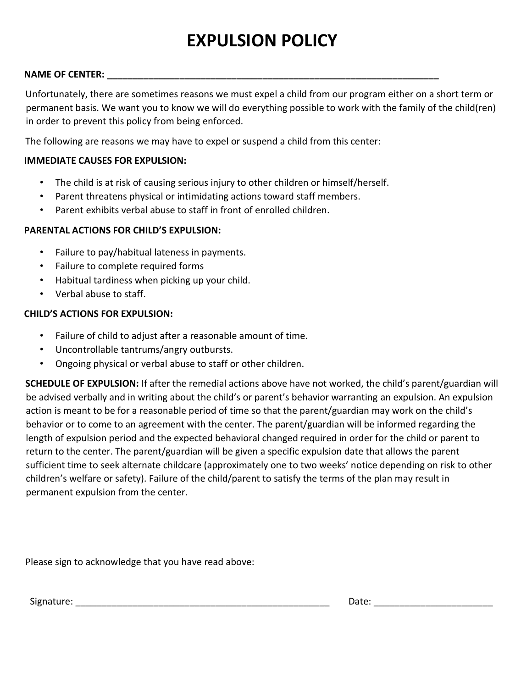## **EXPULSION POLICY**

#### **NAME OF CENTER: \_\_\_\_\_\_\_\_\_\_\_\_\_\_\_\_\_\_\_\_\_\_\_\_\_\_\_\_\_\_\_\_\_\_\_\_\_\_\_\_\_\_\_\_\_\_\_\_\_\_\_\_\_\_\_\_\_\_\_\_\_\_\_\_**

Unfortunately, there are sometimes reasons we must expel a child from our program either on a short term or permanent basis. We want you to know we will do everything possible to work with the family of the child(ren) in order to prevent this policy from being enforced.

The following are reasons we may have to expel or suspend a child from this center:

#### **IMMEDIATE CAUSES FOR EXPULSION:**

- The child is at risk of causing serious injury to other children or himself/herself.
- Parent threatens physical or intimidating actions toward staff members.
- Parent exhibits verbal abuse to staff in front of enrolled children.

#### **PARENTAL ACTIONS FOR CHILD'S EXPULSION:**

- Failure to pay/habitual lateness in payments.
- Failure to complete required forms
- Habitual tardiness when picking up your child.
- Verbal abuse to staff.

#### **CHILD'S ACTIONS FOR EXPULSION:**

- Failure of child to adjust after a reasonable amount of time.
- Uncontrollable tantrums/angry outbursts.
- Ongoing physical or verbal abuse to staff or other children.

**SCHEDULE OF EXPULSION:** If after the remedial actions above have not worked, the child's parent/guardian will be advised verbally and in writing about the child's or parent's behavior warranting an expulsion. An expulsion action is meant to be for a reasonable period of time so that the parent/guardian may work on the child's behavior or to come to an agreement with the center. The parent/guardian will be informed regarding the length of expulsion period and the expected behavioral changed required in order for the child or parent to return to the center. The parent/guardian will be given a specific expulsion date that allows the parent sufficient time to seek alternate childcare (approximately one to two weeks' notice depending on risk to other children's welfare or safety). Failure of the child/parent to satisfy the terms of the plan may result in permanent expulsion from the center.

Please sign to acknowledge that you have read above: